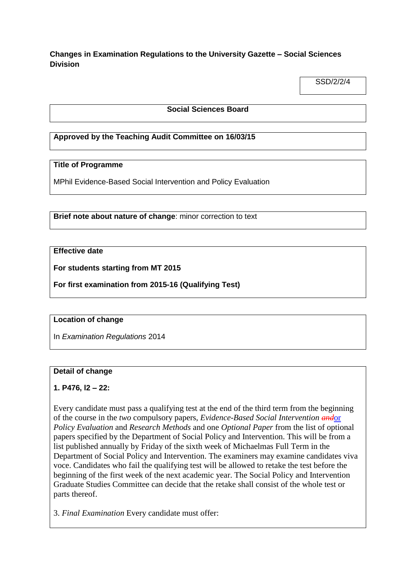## **Changes in Examination Regulations to the University Gazette – Social Sciences Division**

SSD/2/2/4

### **Social Sciences Board**

## **Approved by the Teaching Audit Committee on 16/03/15**

### **Title of Programme**

MPhil Evidence-Based Social Intervention and Policy Evaluation

**Brief note about nature of change**: minor correction to text

## **Effective date**

**For students starting from MT 2015**

**For first examination from 2015-16 (Qualifying Test)**

#### **Location of change**

In *Examination Regulations* 2014

#### **Detail of change**

### **1. P476, l2 – 22:**

Every candidate must pass a qualifying test at the end of the third term from the beginning of the course in the *two* compulsory papers, *Evidence-Based Social Intervention and*or *Policy Evaluation* and *Research Methods* and one *Optional Paper* from the list of optional papers specified by the Department of Social Policy and Intervention. This will be from a list published annually by Friday of the sixth week of Michaelmas Full Term in the Department of Social Policy and Intervention. The examiners may examine candidates viva voce. Candidates who fail the qualifying test will be allowed to retake the test before the beginning of the first week of the next academic year. The Social Policy and Intervention Graduate Studies Committee can decide that the retake shall consist of the whole test or parts thereof.

3. *Final Examination* Every candidate must offer: